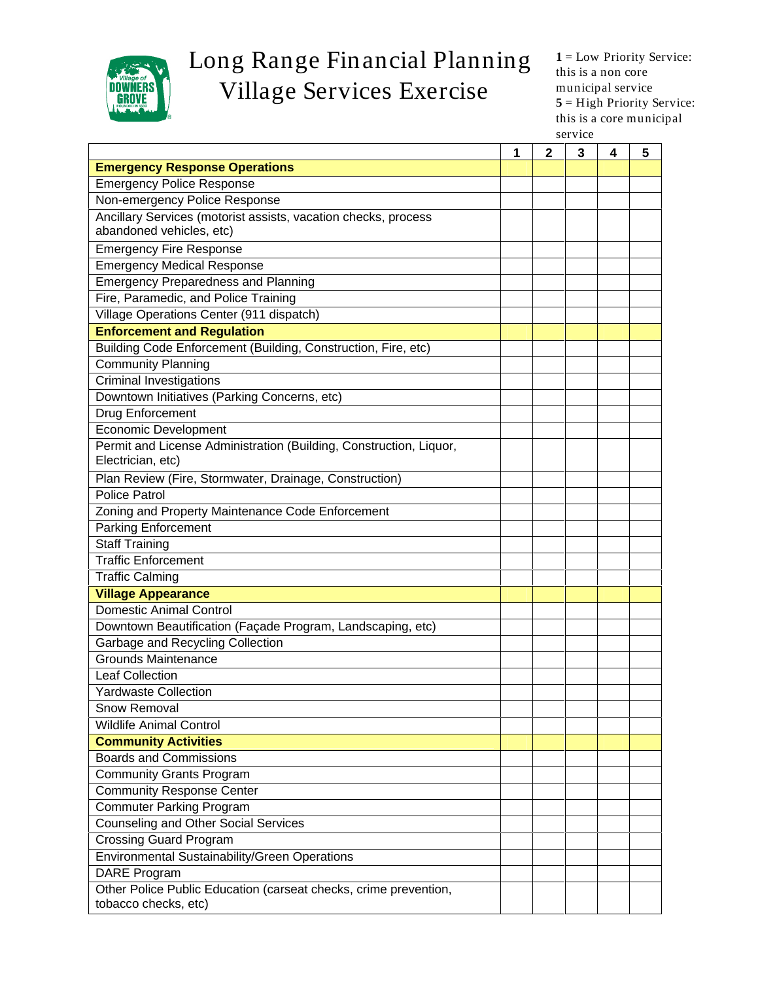

## Long Range Financial Planning 1=Low Priority Service: Village Services Exercise municipal service service:

**1** = Low Priority Service: this is a non core municipal service **5** = High Priority Service: this is a core municipal service **service** 

|                                                                                         | $1 \mid 2 \mid 3 \mid 4 \mid 5$ |
|-----------------------------------------------------------------------------------------|---------------------------------|
| <b>Emergency Response Operations</b>                                                    |                                 |
| <b>Emergency Police Response</b>                                                        |                                 |
| Non-emergency Police Response                                                           |                                 |
| Ancillary Services (motorist assists, vacation checks, process                          |                                 |
| abandoned vehicles, etc)                                                                |                                 |
| <b>Emergency Fire Response</b>                                                          |                                 |
| <b>Emergency Medical Response</b>                                                       |                                 |
| <b>Emergency Preparedness and Planning</b>                                              |                                 |
| Fire, Paramedic, and Police Training                                                    |                                 |
| Village Operations Center (911 dispatch)                                                |                                 |
| <b>Enforcement and Regulation</b>                                                       |                                 |
| Building Code Enforcement (Building, Construction, Fire, etc)                           |                                 |
| <b>Community Planning</b>                                                               |                                 |
| Criminal Investigations                                                                 |                                 |
| Downtown Initiatives (Parking Concerns, etc)                                            |                                 |
| Drug Enforcement                                                                        |                                 |
| Economic Development                                                                    |                                 |
| Permit and License Administration (Building, Construction, Liquor,<br>Electrician, etc) |                                 |
| Plan Review (Fire, Stormwater, Drainage, Construction)                                  |                                 |
| Police Patrol                                                                           |                                 |
| Zoning and Property Maintenance Code Enforcement                                        |                                 |
| <b>Parking Enforcement</b>                                                              |                                 |
| Staff Training                                                                          |                                 |
| <b>Traffic Enforcement</b>                                                              |                                 |
| <b>Traffic Calming</b>                                                                  |                                 |
| Village Appearance                                                                      |                                 |
| Domestic Animal Control                                                                 |                                 |
| Downtown Beautification (Façade Program, Landscaping, etc)                              |                                 |
| <b>Garbage and Recycling Collection</b>                                                 |                                 |
| <b>Grounds Maintenance</b>                                                              |                                 |
| Leaf Collection                                                                         |                                 |
| <b>Yardwaste Collection</b>                                                             |                                 |
| <b>Snow Removal</b>                                                                     |                                 |
| <b>Wildlife Animal Control</b>                                                          |                                 |
| <b>Community Activities</b>                                                             |                                 |
| <b>Boards and Commissions</b>                                                           |                                 |
| <b>Community Grants Program</b>                                                         |                                 |
| Community Response Center                                                               |                                 |
| <b>Commuter Parking Program</b>                                                         |                                 |
| Counseling and Other Social Services                                                    |                                 |
| <b>Crossing Guard Program</b>                                                           |                                 |
| <b>Environmental Sustainability/Green Operations</b>                                    |                                 |
| DARE Program<br>Other Police Public Education (carseat checks, crime prevention,        |                                 |
| tobacco checks, etc)                                                                    |                                 |
|                                                                                         |                                 |